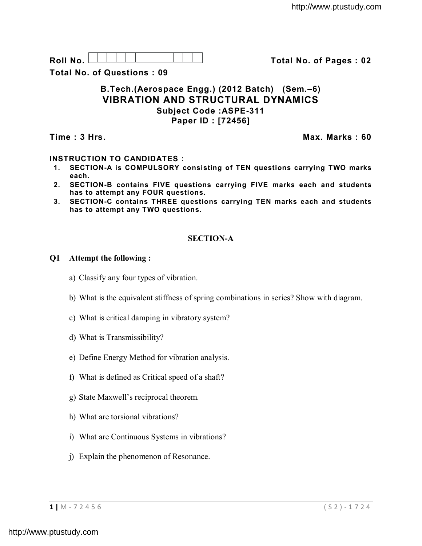**Roll No. Total No. of Pages : 02**

**Total No. of Questions : 09**

## **B.Tech.(Aerospace Engg.) (2012 Batch) (Sem.–6) VIBRATION AND STRUCTURAL DYNAMICS Subject Code :ASPE-311 Paper ID : [72456]**

**Time : 3 Hrs. Max. Marks : 60**

## **INSTRUCTION TO CANDIDATES :**

- **1. SECTION-A is COMPULSORY consisting of TEN questions carrying TWO marks each.**
- **2. SECTION-B contains FIVE questions carrying FIVE marks each and students has to attempt any FOUR questions.**
- **3. SECTION-C contains THREE questions carrying TEN marks each and students has to attempt any TWO questions.**

## **SECTION-A**

### **Q1 Attempt the following :**

- a) Classify any four types of vibration.
- b) What is the equivalent stiffness of spring combinations in series? Show with diagram.
- c) What is critical damping in vibratory system?
- d) What is Transmissibility?
- e) Define Energy Method for vibration analysis.
- f) What is defined as Critical speed of a shaft?
- g) State Maxwell's reciprocal theorem.
- h) What are torsional vibrations?
- i) What are Continuous Systems in vibrations?
- j) Explain the phenomenon of Resonance.